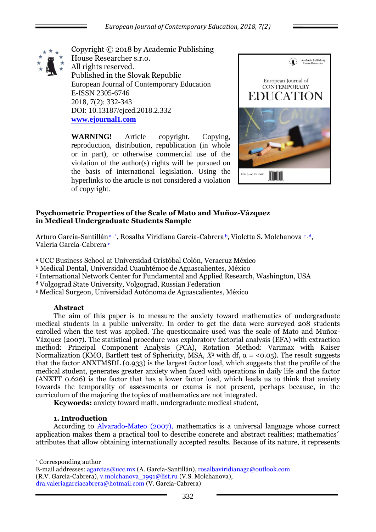

Copyright © 2018 by Academic Publishing House Researcher s.r.o. All rights reserved. Published in the Slovak Republic European Journal of Contemporary Education E-ISSN 2305-6746 2018, 7(2): 332-343 DOI: 10.13187/ejced.2018.2.332 **[www.ejournal1.com](http://www.ejournal1.com/)**

**WARNING!** Article copyright. Copying, reproduction, distribution, republication (in whole or in part), or otherwise commercial use of the violation of the author(s) rights will be pursued on the basis of international legislation. Using the hyperlinks to the article is not considered a violation of copyright.



# **Psychometric Properties of the Scale of Mato and Muñoz-Vázquez in Medical Undergraduate Students Sample**

Arturo García-Santillána, \*, Rosalba Viridiana García-Cabrera b, Violetta S. Molchanova c, d, Valeria García-Cabrera <sup>e</sup>

<sup>a</sup> UCC Business School at Universidad Cristóbal Colón, Veracruz México

<sup>b</sup> Medical Dental, Universidad Cuauhtémoc de Aguascalientes, México

<sup>c</sup> International Network Center for Fundamental and Applied Research, Washington, USA

<sup>d</sup> Volgograd State University, Volgograd, Russian Federation

<sup>e</sup> Medical Surgeon, Universidad Autónoma de Aguascalientes, México

# **Abstract**

The aim of this paper is to measure the anxiety toward mathematics of undergraduate medical students in a public university. In order to get the data were surveyed 208 students enrolled when the test was applied. The questionnaire used was the scale of Mato and Muñoz-Vázquez (2007). The statistical procedure was exploratory factorial analysis (EFA) with extraction method: Principal Component Analysis (PCA), Rotation Method: Varimax with Kaiser Normalization (KMO, Bartlett test of Sphericity, MSA,  $X^2$  with df,  $\alpha = 0.05$ ). The result suggests that the factor ANXTMSDL (0.933) is the largest factor load, which suggests that the profile of the medical student, generates greater anxiety when faced with operations in daily life and the factor (ANXTT 0.626) is the factor that has a lower factor load, which leads us to think that anxiety towards the temporality of assessments or exams is not present, perhaps because, in the curriculum of the majoring the topics of mathematics are not integrated.

**Keywords:** anxiety toward math, undergraduate medical student,

# **1. Introduction**

According to Alvarado-Mateo (2007), mathematics is a universal language whose correct application makes them a practical tool to describe concrete and abstract realities; mathematics´ attributes that allow obtaining internationally accepted results. Because of its nature, it represents

<u>.</u> \* Corresponding author

E-mail addresses: agarcias@ucc.mx (A. García-Santillán), rosalbaviridianagc@outlook.com (R.V. García-Cabrera), v.molchanova\_1991@list.ru (V.S. Molchanova), dra.valeriagarciacabrera@hotmail.com (V. García-Cabrera)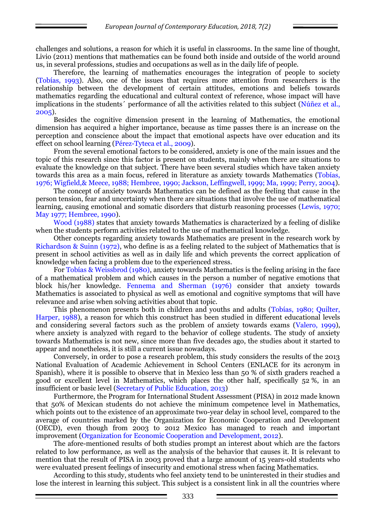challenges and solutions, a reason for which it is useful in classrooms. In the same line of thought, Livio (2011) mentions that mathematics can be found both inside and outside of the world around us, in several professions, studies and occupations as well as in the daily life of people.

Therefore, the learning of mathematics encourages the integration of people to society (Tobías, 1993). Also, one of the issues that requires more attention from researchers is the relationship between the development of certain attitudes, emotions and beliefs towards mathematics regarding the educational and cultural context of reference, whose impact will have implications in the students´ performance of all the activities related to this subject (Núñez et al., 2005).

Besides the cognitive dimension present in the learning of Mathematics, the emotional dimension has acquired a higher importance, because as time passes there is an increase on the perception and conscience about the impact that emotional aspects have over education and its effect on school learning (Pérez-Tyteca et al., 2009).

From the several emotional factors to be considered, anxiety is one of the main issues and the topic of this research since this factor is present on students, mainly when there are situations to evaluate the knowledge on that subject. There have been several studies which have taken anxiety towards this area as a main focus, refered in literature as anxiety towards Mathematics (Tobías, 1976; Wigfield,& Meece, 1988; Hembree, 1990; Jackson, Leffingwell, 1999; Ma, 1999; Perry, 2004).

The concept of anxiety towards Mathematics can be defined as the feeling that cause in the person tension, fear and uncertainty when there are situations that involve the use of mathematical learning, causing emotional and somatic disorders that disturb reasoning processes (Lewis, 1970; May 1977; Hembree, 1990).

Wood (1988) states that anxiety towards Mathematics is characterized by a feeling of dislike when the students perform activities related to the use of mathematical knowledge.

Other concepts regarding anxiety towards Mathematics are present in the research work by Richardson & Suinn (1972), who define is as a feeling related to the subject of Mathematics that is present in school activities as well as in daily life and which prevents the correct application of knowledge when facing a problem due to the experienced stress.

For Tobías & Weissbrod (1980), anxiety towards Mathematics is the feeling arising in the face of a mathematical problem and which causes in the person a number of negative emotions that block his/her knowledge. Fennema and Sherman (1976) consider that anxiety towards Mathematics is associated to physical as well as emotional and cognitive symptoms that will have relevance and arise when solving activities about that topic.

This phenomenon presents both in children and youths and adults (Tobías, 1980; Quilter, Harper, 1988), a reason for which this construct has been studied in different educational levels and considering several factors such as the problem of anxiety towards exams (Valero, 1999), where anxiety is analyzed with regard to the behavior of college students. The study of anxiety towards Mathematics is not new, since more than five decades ago, the studies about it started to appear and nonetheless, it is still a current issue nowadays.

Conversely, in order to pose a research problem, this study considers the results of the 2013 National Evaluation of Academic Achievement in School Centers (ENLACE for its acronym in Spanish), where it is possible to observe that in Mexico less than 50 % of sixth graders reached a good or excellent level in Mathematics, which places the other half, specifically 52 %, in an insufficient or basic level (Secretary of Public Education, 2013)

Furthermore, the Program for International Student Assessment (PISA) in 2012 made known that 50% of Mexican students do not achieve the minimum competence level in Mathematics, which points out to the existence of an approximate two-year delay in school level, compared to the average of countries marked by the Organization for Economic Cooperation and Development (OECD), even though from 2003 to 2012 Mexico has managed to reach and important improvement (Organization for Economic Cooperation and Development, 2012).

The afore-mentioned results of both studies prompt an interest about which are the factors related to low performance, as well as the analysis of the behavior that causes it. It is relevant to mention that the result of PISA in 2003 proved that a large amount of 15 years-old students who were evaluated present feelings of insecurity and emotional stress when facing Mathematics.

According to this study, students who feel anxiety tend to be uninterested in their studies and lose the interest in learning this subject. This subject is a consistent link in all the countries where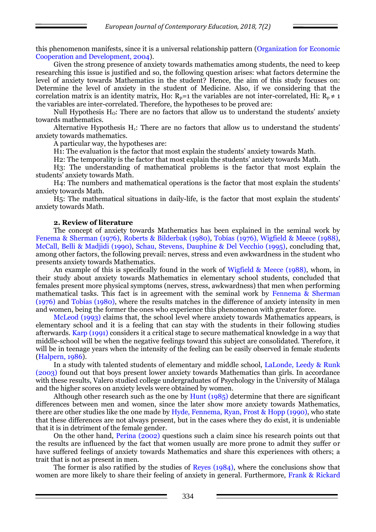this phenomenon manifests, since it is a universal relationship pattern (Organization for Economic Cooperation and Development, 2004).

Given the strong presence of anxiety towards mathematics among students, the need to keep researching this issue is justified and so, the following question arises: what factors determine the level of anxiety towards Mathematics in the student? Hence, the aim of this study focuses on: Determine the level of anxiety in the student of Medicine. Also, if we considering that the correlation matrix is an identity matrix, Ho:  $R_p=1$  the variables are not inter-correlated, Hi:  $R_p \neq 1$ the variables are inter-correlated. Therefore, the hypotheses to be proved are:

Null Hypothesis  $H_0$ : There are no factors that allow us to understand the students' anxiety towards mathematics.

Alternative Hypothesis  $H_1$ : There are no factors that allow us to understand the students' anxiety towards mathematics.

A particular way, the hypotheses are:

H1: The evaluation is the factor that most explain the students' anxiety towards Math.

H2: The temporality is the factor that most explain the students' anxiety towards Math.

H3: The understanding of mathematical problems is the factor that most explain the students' anxiety towards Math.

H4: The numbers and mathematical operations is the factor that most explain the students' anxiety towards Math.

H5: The mathematical situations in daily-life, is the factor that most explain the students' anxiety towards Math.

### **2. Review of literature**

The concept of anxiety towards Mathematics has been explained in the seminal work by Fenema & Sherman (1976), Roberts & Bilderbak (1980), Tobías (1976), Wigfield & Meece (1988), McCall, Belli & Madjidi (1990), Schau, Stevens, Dauphine & Del Vecchio (1995), concluding that, among other factors, the following prevail: nerves, stress and even awkwardness in the student who presents anxiety towards Mathematics.

An example of this is specifically found in the work of Wigfield & Meece (1988), whom, in their study about anxiety towards Mathematics in elementary school students, concluded that females present more physical symptoms (nerves, stress, awkwardness) that men when performing mathematical tasks. This fact is in agreement with the seminal work by Fennema & Sherman (1976) and Tobías (1980), where the results matches in the difference of anxiety intensity in men and women, being the former the ones who experience this phenomenon with greater force.

McLeod (1993) claims that, the school level where anxiety towards Mathematics appears, is elementary school and it is a feeling that can stay with the students in their following studies afterwards. Karp (1991) considers it a critical stage to secure mathematical knowledge in a way that middle-school will be when the negative feelings toward this subject are consolidated. Therefore, it will be in teenage years when the intensity of the feeling can be easily observed in female students (Halpern, 1986).

In a study with talented students of elementary and middle school, LaLonde, Leedy & Runk (2003) found out that boys present lower anxiety towards Mathematics than girls. In accordance with these results, Valero studied college undergraduates of Psychology in the University of Málaga and the higher scores on anxiety levels were obtained by women.

Although other research such as the one by Hunt  $(1985)$  determine that there are significant differences between men and women, since the later show more anxiety towards Mathematics, there are other studies like the one made by Hyde, Fennema, Ryan, Frost & Hopp (1990), who state that these differences are not always present, but in the cases where they do exist, it is undeniable that it is in detriment of the female gender.

On the other hand, Perina (2002) questions such a claim since his research points out that the results are influenced by the fact that women usually are more prone to admit they suffer or have suffered feelings of anxiety towards Mathematics and share this experiences with others; a trait that is not as present in men.

The former is also ratified by the studies of Reyes (1984), where the conclusions show that women are more likely to share their feeling of anxiety in general. Furthermore, Frank & Rickard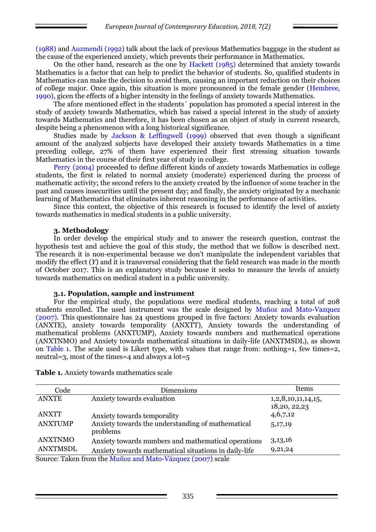(1988) and Auzmendi (1992) talk about the lack of previous Mathematics baggage in the student as the cause of the experienced anxiety, which prevents their performance in Mathematics.

On the other hand, research as the one by Hackett (1985) determined that anxiety towards Mathematics is a factor that can help to predict the behavior of students. So, qualified students in Mathematics can make the decision to avoid them, causing an important reduction on their choices of college major. Once again, this situation is more pronounced in the female gender (Hembree, 1990), gicen the effects of a higher intensity in the feelings of anxiety towards Mathematics.

The afore mentioned effect in the students´ population has promoted a special interest in the study of anxiety towards Mathematics, which has raised a special interest in the study of anxiety towards Mathematics and therefore, it has been chosen as an object of study in current research, despite being a phenomenon with a long historical significance.

Studies made by Jackson & Leffingwell (1999) observed that even though a significant amount of the analyzed subjects have developed their anxiety towards Mathematics in a time preceding college, 27% of them have experienced their first stressing situation towards Mathematics in the course of their first year of study in college.

Perry (2004) proceeded to define different kinds of anxiety towards Mathematics in college students, the first is related to normal anxiety (moderate) experienced during the process of mathematic activity; the second refers to the anxiety created by the influence of some teacher in the past and causes insecurities until the present day; and finally, the anxiety originated by a mechanic learning of Mathematics that eliminates inherent reasoning in the performance of activities.

Since this context, the objective of this research is focused to identify the level of anxiety towards mathematics in medical students in a public university.

### **3. Methodology**

In order develop the empirical study and to answer the research question, contrast the hypothesis test and achieve the goal of this study, the method that we follow is described next. The research it is non-experimental because we don't manipulate the independent variables that modify the effect (*Y*) and it is transversal considering that the field research was made in the month of October 2017. This is an explanatory study because it seeks to measure the levels of anxiety towards mathematics on medical student in a public university.

### **3.1. Population, sample and instrument**

For the empirical study, the populations were medical students, reaching a total of 208 students enrolled. The used instrument was the scale designed by Muñoz and Mato-Vazquez (2007). This questionnaire has 24 questions grouped in five factors: Anxiety towards evaluation (ANXTE), anxiety towards temporality (ANXTT), Anxiety towards the understanding of mathematical problems (ANXTUMP), Anxiety towards numbers and mathematical operations (ANXTNMO) and Anxiety towards mathematical situations in daily-life (ANXTMSDL), as shown on Table 1. The scale used is Likert type, with values that range from: nothing=1, few times=2, neutral=3, most of the times=4 and always a lot=5

| Code            | <b>Dimensions</b>                                             | Items                              |
|-----------------|---------------------------------------------------------------|------------------------------------|
| <b>ANXTE</b>    | Anxiety towards evaluation                                    | 1,2,8,10,11,14,15,<br>18,20, 22,23 |
| <b>ANXTT</b>    | Anxiety towards temporality                                   | 4,6,7,12                           |
| <b>ANXTUMP</b>  | Anxiety towards the understanding of mathematical<br>problems | 5,17,19                            |
| <b>ANXTNMO</b>  | Anxiety towards numbers and mathematical operations           | 3,13,16                            |
| <b>ANXTMSDL</b> | Anxiety towards mathematical situations in daily-life         | 9,21,24                            |
|                 | Source: Taken from the Muñoz and Mato-Vázquez (2007) scale    |                                    |

**Table 1.** Anxiety towards mathematics scale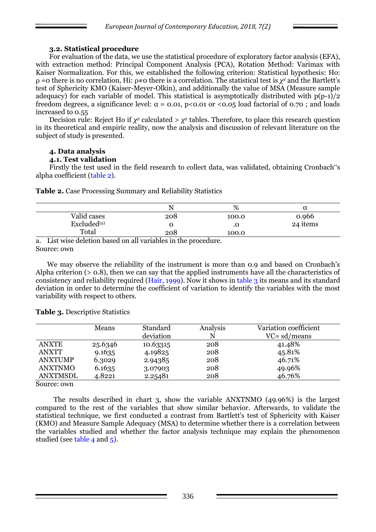# **3.2. Statistical procedure**

For evaluation of the data, we use the statistical procedure of exploratory factor analysis (EFA), with extraction method: Principal Component Analysis (PCA), Rotation Method: Varimax with Kaiser Normalization. For this, we established the following criterion: Statistical hypothesis: Ho: ρ =0 there is no correlation, Hi: ρ≠0 there is a correlation. The statistical test is *χ <sup>2</sup>* and the Bartlett's test of Sphericity KMO (Kaiser-Meyer-Olkin), and additionally the value of MSA (Measure sample adequacy) for each variable of model. This statistical is asymptotically distributed with  $p(p-1)/2$ freedom degrees, a significance level:  $\alpha = 0.01$ ,  $p < 0.01$  or  $\alpha > 0.05$  load factorial of 0.70; and loads increased to 0.55

Decision rule: Reject Ho if  $χ²$  calculated >  $χ²$  tables. Therefore, to place this research question in its theoretical and empiric reality, now the analysis and discussion of relevant literature on the subject of study is presented.

# **4. Data analysis**

### **4.1. Test validation**

Firstly the test used in the field research to collect data, was validated, obtaining Cronbach"s alpha coefficient (table 2).

**Table 2.** Case Processing Summary and Reliability Statistics

|                         |     | %     |          |
|-------------------------|-----|-------|----------|
| Valid cases             | 208 | 100.0 | 0.966    |
| Excluded <sup>(a)</sup> |     | w     | 24 items |
| Total                   | 208 | 100.0 |          |

a. List wise deletion based on all variables in the procedure. Source: own

We may observe the reliability of the instrument is more than 0.9 and based on Cronbach's Alpha criterion (> 0.8), then we can say that the applied instruments have all the characteristics of consistency and reliability required (Hair, 1999). Now it shows in table 3 its means and its standard deviation in order to determine the coefficient of variation to identify the variables with the most variability with respect to others.

|                 | Means   | <b>Standard</b> | Analysis | Variation coefficient |
|-----------------|---------|-----------------|----------|-----------------------|
|                 |         | deviation       | N        | $VC = sd/means$       |
| <b>ANXTE</b>    | 25.6346 | 10.63315        | 208      | 41.48%                |
| ANXTT           | 9.1635  | 4.19825         | 208      | 45.81%                |
| <b>ANXTUMP</b>  | 6.3029  | 2.94385         | 208      | 46.71%                |
| ANXTNMO         | 6.1635  | 3.07903         | 208      | 49.96%                |
| <b>ANXTMSDL</b> | 4.8221  | 2.25481         | 208      | 46.76%                |

**Table 3.** Descriptive Statistics

Source: own

The results described in chart 3, show the variable ANXTNMO (49.96%) is the largest compared to the rest of the variables that show similar behavior. Afterwards, to validate the statistical technique, we first conducted a contrast from Bartlett's test of Sphericity with Kaiser (KMO) and Measure Sample Adequacy (MSA) to determine whether there is a correlation between the variables studied and whether the factor analysis technique may explain the phenomenon studied (see table 4 and 5).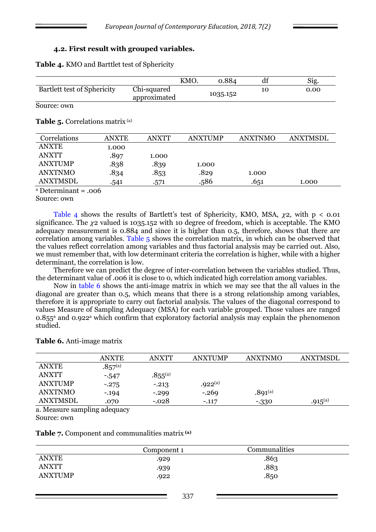### **4.2. First result with grouped variables.**

**Table 4.** KMO and Barttlet test of Sphericity

|                                    |                             | KMO. | 0.884    | đÌ | Sig. |
|------------------------------------|-----------------------------|------|----------|----|------|
| <b>Bartlett test of Sphericity</b> | Chi-squared<br>approximated |      | 1035.152 |    | 0.00 |

Source: own

#### **Table 5.** Correlations matrix (a)

| Correlations   | <b>ANXTE</b> | ANXTT | <b>ANXTUMP</b> | ANXTNMO | <b>ANXTMSDL</b> |
|----------------|--------------|-------|----------------|---------|-----------------|
| <b>ANXTE</b>   | 1.000        |       |                |         |                 |
| <b>ANXTT</b>   | .897         | 1.000 |                |         |                 |
| <b>ANXTUMP</b> | .838         | .839  | 1.000          |         |                 |
| ANXTNMO        | .834         | .853  | .829           | 1.000   |                 |
| ANXTMSDL       | .541         | .571  | .586           | .651    | 1.000           |

 $a$  Determinant = .006

Source: own

Table 4 shows the results of Bartlett's test of Sphericity, KMO, MSA,  $\gamma$ 2, with p < 0.01 significance. The  $\chi$ 2 valued is 1035.152 with 10 degree of freedom, which is acceptable. The KMO adequacy measurement is 0.884 and since it is higher than 0.5, therefore, shows that there are correlation among variables. Table 5 shows the correlation matrix, in which can be observed that the values reflect correlation among variables and thus factorial analysis may be carried out. Also, we must remember that, with low determinant criteria the correlation is higher, while with a higher determinant, the correlation is low.

Therefore we can predict the degree of inter-correlation between the variables studied. Thus, the determinant value of .006 it is close to 0, which indicated high correlation among variables.

Now in table 6 shows the anti-image matrix in which we may see that the all values in the diagonal are greater than 0.5, which means that there is a strong relationship among variables, therefore it is appropriate to carry out factorial analysis. The values of the diagonal correspond to values Measure of Sampling Adequacy (MSA) for each variable grouped. Those values are ranged 0.855<sup>a</sup> and 0.922<sup>a</sup> which confirm that exploratory factorial analysis may explain the phenomenon studied.

|              | <b>ANXTE</b> | <b>ANXTT</b> | <b>ANXTUMP</b> | ANXTNMO      | ANXTMSDL     |
|--------------|--------------|--------------|----------------|--------------|--------------|
| <b>ANXTE</b> | $.857^{(a)}$ |              |                |              |              |
| <b>ANXTT</b> | $-547$       | $.855^{(a)}$ |                |              |              |
| ANXTUMP      | $-.275$      | $-.213$      | $.922^{(a)}$   |              |              |
| ANXTNMO      | $-.194$      | $-.299$      | $-.269$        | $.891^{(a)}$ |              |
| ANXTMSDL     | .070         | $-.028$      | $-.117$        | $-330$       | $.915^{(a)}$ |
| $\mathbf{r}$ | п.           |              |                |              |              |

**Table 6.** Anti-image matrix

a. Measure sampling adequacy

Source: own

**Table 7.** Component and communalities matrix **(a)**

|              | Component 1 | Communalities |  |
|--------------|-------------|---------------|--|
| <b>ANXTE</b> | .929        | .863          |  |
| <b>ANXTT</b> | .939        | .883          |  |
| ANXTUMP      | .922        | .850          |  |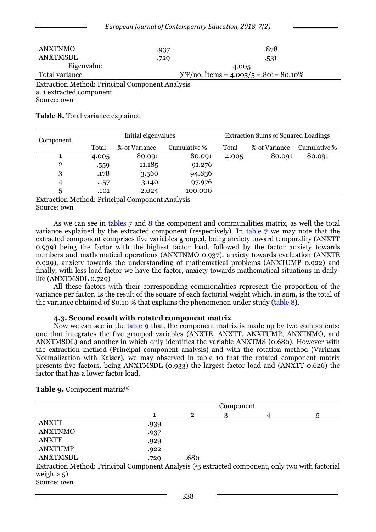|                                         | $\mu$ by $\mu$ and $\mu$ by $\mu$ by $\mu$ by $\mu$ by $\mu$ by $\mu$ by $\mu$ by $\mu$ |                                                    |  |
|-----------------------------------------|-----------------------------------------------------------------------------------------|----------------------------------------------------|--|
| <b>ANXTNMO</b>                          | .937                                                                                    | .878                                               |  |
| <b>ANXTMSDL</b>                         | .729                                                                                    | .531                                               |  |
| Eigenvalue                              |                                                                                         | 4.005                                              |  |
| Total variance                          |                                                                                         | $\Sigma\Psi$ /no. 1 tems = 4.005/5 = .801 = 80.10% |  |
| a. 1 extracted component<br>Source: own | <b>Extraction Method: Principal Component Analysis</b>                                  |                                                    |  |

*European Journal of Contemporary Education, 2018, 7(2)*

#### **Table 8.** Total variance explained

| Component      |       | Initial eigenvalues |              | <b>Extraction Sums of Squared Loadings</b> |               |              |  |
|----------------|-------|---------------------|--------------|--------------------------------------------|---------------|--------------|--|
|                | Total | % of Variance       | Cumulative % | Total                                      | % of Variance | Cumulative % |  |
|                | 4.005 | 80.091              | 80.091       | 4.005                                      | 80.091        | 80.091       |  |
| $\overline{2}$ | .559  | 11.185              | 91.276       |                                            |               |              |  |
| 3              | .178  | 3.560               | 94.836       |                                            |               |              |  |
| 4              | .157  | 3.140               | 97.976       |                                            |               |              |  |
| 5              | .101  | 2.024               | 100.000      |                                            |               |              |  |

Extraction Method: Principal Component Analysis Source: own

As we can see in tables 7 and 8 the component and communalities matrix, as well the total variance explained by the extracted component (respectively). In table 7 we may note that the extracted component comprises five variables grouped, being anxiety toward temporality (ANXTT 0.939) being the factor with the highest factor load, followed by the factor anxiety towards numbers and mathematical operations (ANXTNMO 0.937), anxiety towards evaluation (ANXTE 0.929), anxiety towards the understanding of mathematical problems (ANXTUMP 0.922) and finally, with less load factor we have the factor, anxiety towards mathematical situations in dailylife (ANXTMSDL 0.729)

All these factors with their corresponding commonalities represent the proportion of the variance per factor. Is the result of the square of each factorial weight which, in sum, is the total of the variance obtained of 80.10 % that explains the phenomenon under study (table 8).

#### **4.3. Second result with rotated component matrix**

Now we can see in the table 9 that, the component matrix is made up by two components: one that integrates the five grouped variables (ANXTE, ANXTT, ANXTUMP, ANXTNMO, and ANXTMSDL) and another in which only identifies the variable ANXTMS (0.680). However with the extraction method (Principal component analysis) and with the rotation method (Varimax Normalization with Kaiser), we may observed in table 10 that the rotated component matrix presents five factors, being ANXTMSDL (0.933) the largest factor load and (ANXTT 0.626) the factor that has a lower factor load.

|                                                                                                                          | Component |              |   |  |  |  |  |
|--------------------------------------------------------------------------------------------------------------------------|-----------|--------------|---|--|--|--|--|
|                                                                                                                          |           | $\mathbf{2}$ | З |  |  |  |  |
| <b>ANXTT</b>                                                                                                             | .939      |              |   |  |  |  |  |
| <b>ANXTNMO</b>                                                                                                           | .937      |              |   |  |  |  |  |
| <b>ANXTE</b>                                                                                                             | .929      |              |   |  |  |  |  |
| <b>ANXTUMP</b>                                                                                                           | .922      |              |   |  |  |  |  |
| <b>ANXTMSDL</b>                                                                                                          | .729      | .680         |   |  |  |  |  |
| Extraction Method: Principal Component Analysis ( <sup>a</sup> <sub>5</sub> extracted component, only two with factorial |           |              |   |  |  |  |  |
| weigh $> 0.5$ )                                                                                                          |           |              |   |  |  |  |  |

**Table 9.** Component matrix<sup>(a)</sup>

Source: own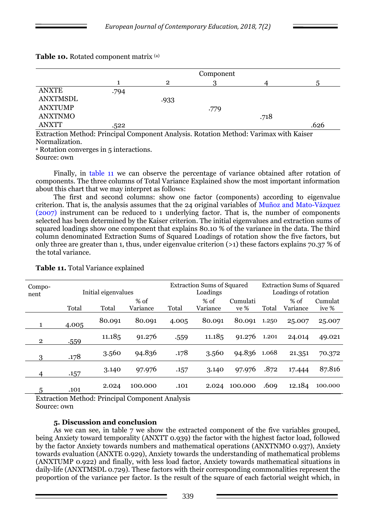|                 | Component |                |      |      |      |  |  |
|-----------------|-----------|----------------|------|------|------|--|--|
|                 |           | $\overline{2}$ |      |      |      |  |  |
| <b>ANXTE</b>    | .794      |                |      |      |      |  |  |
| <b>ANXTMSDL</b> |           | .933           |      |      |      |  |  |
| <b>ANXTUMP</b>  |           |                | .779 |      |      |  |  |
| <b>ANXTNMO</b>  |           |                |      | .718 |      |  |  |
| <b>ANXTT</b>    | .522      |                |      |      | .626 |  |  |

# **Table 10.** Rotated component matrix (a)

Extraction Method: Principal Component Analysis. Rotation Method: Varimax with Kaiser Normalization.

<sup>a</sup> Rotation converges in 5 interactions.

Source: own

Finally, in table 11 we can observe the percentage of variance obtained after rotation of components. The three columns of Total Variance Explained show the most important information about this chart that we may interpret as follows:

The first and second columns: show one factor (components) according to eigenvalue criterion. That is, the analysis assumes that the 24 original variables of Muñoz and Mato-Vázquez (2007) instrument can be reduced to 1 underlying factor. That is, the number of components selected has been determined by the Kaiser criterion. The initial eigenvalues and extraction sums of squared loadings show one component that explains 80.10 % of the variance in the data. The third column denominated Extraction Sums of Squared Loadings of rotation show the five factors, but only three are greater than 1, thus, under eigenvalue criterion (>1) these factors explains 70.37 % of the total variance.

| Compo-<br>nent | Initial eigenvalues |        |          |       | <b>Extraction Sums of Squared</b><br>Loadings |          |       | <b>Extraction Sums of Squared</b><br>Loadings of rotation |         |  |
|----------------|---------------------|--------|----------|-------|-----------------------------------------------|----------|-------|-----------------------------------------------------------|---------|--|
|                |                     |        | $%$ of   |       | $%$ of                                        | Cumulati |       | % of                                                      | Cumulat |  |
|                | Total               | Total  | Variance | Total | Variance                                      | ve %     | Total | Variance                                                  | ive %   |  |
|                | 4.005               | 80.091 | 80.091   | 4.005 | 80.091                                        | 80.091   | 1.250 | 25.007                                                    | 25.007  |  |
| $\overline{2}$ | .559                | 11.185 | 91.276   | .559  | 11.185                                        | 91.276   | 1.201 | 24.014                                                    | 49.021  |  |
| 3              | .178                | 3.560  | 94.836   | .178  | 3.560                                         | 94.836   | 1.068 | 21.351                                                    | 70.372  |  |
| 4              | .157                | 3.140  | 97.976   | .157  | 3.140                                         | 97.976   | .872  | 17.444                                                    | 87.816  |  |
| 5              | .101                | 2.024  | 100.000  | .101  | 2.024                                         | 100.000  | .609  | 12.184                                                    | 100.000 |  |

**Table 11.** Total Variance explained

Extraction Method: Principal Component Analysis Source: own

# **5. Discussion and conclusion**

As we can see, in table 7 we show the extracted component of the five variables grouped, being Anxiety toward temporality (ANXTT 0.939) the factor with the highest factor load, followed by the factor Anxiety towards numbers and mathematical operations (ANXTNMO 0.937), Anxiety towards evaluation (ANXTE 0.929), Anxiety towards the understanding of mathematical problems (ANXTUMP 0.922) and finally, with less load factor, Anxiety towards mathematical situations in daily-life (ANXTMSDL 0.729). These factors with their corresponding commonalities represent the proportion of the variance per factor. Is the result of the square of each factorial weight which, in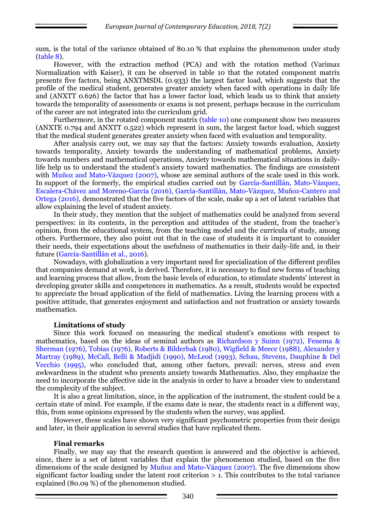sum, is the total of the variance obtained of 80.10 % that explains the phenomenon under study (table 8).

However, with the extraction method (PCA) and with the rotation method (Varimax Normalization with Kaiser), it can be observed in table 10 that the rotated component matrix presents five factors, being ANXTMSDL (0.933) the largest factor load, which suggests that the profile of the medical student, generates greater anxiety when faced with operations in daily life and (ANXTT 0.626) the factor that has a lower factor load, which leads us to think that anxiety towards the temporality of assessments or exams is not present, perhaps because in the curriculum of the career are not integrated into the curriculum grid.

Furthermore, in the rotated component matrix (table 10) one component show two measures (ANXTE 0.794 and ANXTT 0.522) which represent in sum, the largest factor load, which suggest that the medical student generates greater anxiety when faced with evaluation and temporality.

After analysis carry out, we may say that the factors: Anxiety towards evaluation, Anxiety towards temporality, Anxiety towards the understanding of mathematical problems, Anxiety towards numbers and mathematical operations, Anxiety towards mathematical situations in dailylife help us to understand the student's anxiety toward mathematics. The findings are consistent with Muñoz and Mato-Vázquez (2007), whose are seminal authors of the scale used in this work. In support of the formerly, the empirical studies carried out by García-Santillán, Mato-Vázquez, Escalera-Chávez and Moreno-García (2016), García-Santillán, Mato-Vázquez, Muñoz-Cantero and Ortega (2016), demonstrated that the five factors of the scale, make up a set of latent variables that allow explaining the level of student anxiety.

In their study, they mention that the subject of mathematics could be analyzed from several perspectives: in its contents, in the perception and attitudes of the student, from the teacher's opinion, from the educational system, from the teaching model and the curricula of study, among others. Furthermore, they also point out that in the case of students it is important to consider their needs, their expectations about the usefulness of mathematics in their daily-life and, in their future (García-Santillán et al., 2016).

Nowadays, with globalization a very important need for specialization of the different profiles that companies demand at work, is derived. Therefore, it is necessary to find new forms of teaching and learning process that allow, from the basic levels of education, to stimulate students' interest in developing greater skills and competences in mathematics. As a result, students would be expected to appreciate the broad application of the field of mathematics. Living the learning process with a positive attitude, that generates enjoyment and satisfaction and not frustration or anxiety towards mathematics.

### **Limitations of study**

Since this work focused on measuring the medical student's emotions with respect to mathematics, based on the ideas of seminal authors as Richardson y Suinn (1972), Fenema & Sherman (1976), Tobías (1976), Roberts & Bilderbak (1980), Wigfield & Meece (1988), Alexander y Martray (1989), McCall, Belli & Madjidi (1990), McLeod (1993), Schau, Stevens, Dauphine & Del Vecchio (1995), who concluded that, among other factors, prevail: nerves, stress and even awkwardness in the student who presents anxiety towards Mathematics. Also, they emphasize the need to incorporate the affective side in the analysis in order to have a broader view to understand the complexity of the subject.

It is also a great limitation, since, in the application of the instrument, the student could be a certain state of mind. For example, if the exams date is near, the students react in a different way, this, from some opinions expressed by the students when the survey, was applied.

However, these scales have shown very significant psychometric properties from their design and later, in their application in several studies that have replicated them.

#### **Final remarks**

Finally, we may say that the research question is answered and the objective is achieved, since, there is a set of latent variables that explain the phenomenon studied, based on the five dimensions of the scale designed by Muñoz and Mato-Vázquez (2007). The five dimensions show significant factor loading under the latent root criterion  $> 1$ . This contributes to the total variance explained (80.09 %) of the phenomenon studied.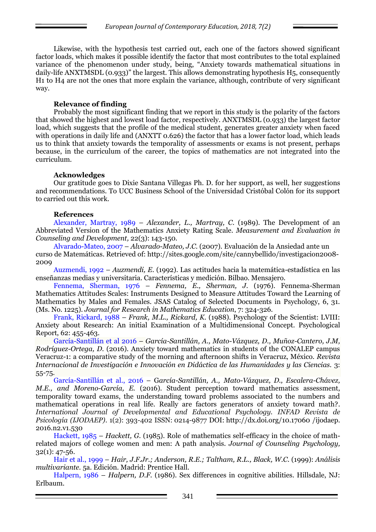Likewise, with the hypothesis test carried out, each one of the factors showed significant factor loads, which makes it possible identify the factor that most contributes to the total explained variance of the phenomenon under study, being, "Anxiety towards mathematical situations in daily-life ANXTMSDL (0.933)" the largest. This allows demonstrating hypothesis H5, consequently H1 to H4 are not the ones that more explain the variance, although, contribute of very significant way.

# **Relevance of finding**

Probably the most significant finding that we report in this study is the polarity of the factors that showed the highest and lowest load factor, respectively. ANXTMSDL (0.933) the largest factor load, which suggests that the profile of the medical student, generates greater anxiety when faced with operations in daily life and (ANXTT 0.626) the factor that has a lower factor load, which leads us to think that anxiety towards the temporality of assessments or exams is not present, perhaps because, in the curriculum of the career, the topics of mathematics are not integrated into the curriculum.

### **Acknowledges**

Our gratitude goes to Dixie Santana Villegas Ph. D. for her support, as well, her suggestions and recommendations. To UCC Business School of the Universidad Cristóbal Colón for its support to carried out this work.

### **References**

Alexander, Martray, 1989 – *Alexander, L., Martray, C*. (1989). The Development of an Abbreviated Version of the Mathematics Anxiety Rating Scale. *Measurement and Evaluation in Counseling and Development,* 22(3): 143-150.

Alvarado-Mateo, 2007 – *Alvarado-Mateo, J.C.* (2007). Evaluación de la Ansiedad ante un curso de Matemáticas. Retrieved of: http://sites.google.com/site/cannybellido/investigacion2008- 2009

Auzmendi, 1992 – *Auzmendi, E*. (1992). Las actitudes hacia la matemática-estadística en las enseñanzas medias y universitaria. Características y medición. Bilbao. Mensajero.

Fennema, Sherman, 1976 – *Fennema, E., Sherman, J*. (1976). Fennema-Sherman Mathematics Attitudes Scales: Instruments Designed to Measure Attitudes Toward the Learning of Mathematics by Males and Females. JSAS Catalog of Selected Documents in Psychology, 6, 31. (Ms. No. 1225). *Journal for Research in Mathematics Education*, 7: 324-326.

Frank, Rickard, 1988 – *Frank, M.L., Rickard, K.* (1988). Psychology of the Scientist: LVIII: Anxiety about Research: An initial Examination of a Multidimensional Concept. Psychological Report, 62: 455-463.

García-Santillán et al 2016 – *García-Santillán, A., Mato-Vázquez, D., Muñoz-Cantero, J.M, Rodríguez-Ortega, D.* (2016). Anxiety toward mathematics in students of the CONALEP campus Veracruz-1: a comparative study of the morning and afternoon shifts in Veracruz, México. *Revista Internacional de Investigación e Innovación en Didáctica de las Humanidades y las Ciencias.* 3: 55-75.

García-Santillán et al., 2016 – G*arcía-Santillán, A., Mato-Vázquez, D., Escalera-Chávez, M.E., and Moreno-García, E.* (2016). Student perception toward mathematics assessment, temporality toward exams, the understanding toward problems associated to the numbers and mathematical operations in real life. Really are factors generators of anxiety toward math?*. International Journal of Developmental and Educational Psychology. INFAD Revista de Psicología (IJODAEP)*. 1(2): 393-402 ISSN: 0214-9877 DOI: http://dx.doi.org/10.17060 /ijodaep. 2016.n2.v1.530

Hackett, 1985 – *Hackett, G.* (1985). Role of mathematics self-efficacy in the choice of mathrelated majors of college women and men: A path analysis. *Journal of Counseling Psychology,*  32(1): 47-56.

Hair et al., 1999 – *Hair, J.F.Jr.; Anderson, R.E.; Taltham, R.L., Black, W.C.* (1999): *Análisis multivariante.* 5a. Edición. Madrid: Prentice Hall.

Halpern, 1986 – *Halpern, D.F.* (1986). Sex differences in cognitive abilities. Hillsdale, NJ: Erlbaum.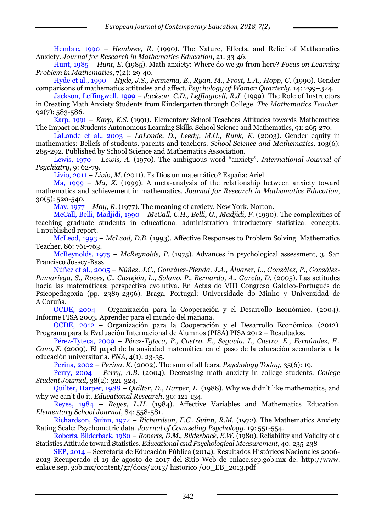Hembre, 1990 – *Hembree, R.* (1990). The Nature, Effects, and Relief of Mathematics Anxiety. *Journal for Research in Mathematics Education*, 21: 33-46.

Hunt, 1985 – *Hunt, E.* (1985). Math anxiety: Where do we go from here? *Focus on Learning Problem in Mathematics*, 7(2): 29-40.

Hyde et al., 1990 – *Hyde, J.S., Fennema, E., Ryan, M., Frost, L.A., Hopp, C*. (1990). Gender comparisons of mathematics attitudes and affect. *Psychology of Women Quarterly*. 14: 299–324.

Jackson, Leffingwell, 1999 – *Jackson, C.D., Leffingwell, R.J.* (1999). The Role of Instructors in Creating Math Anxiety Students from Kindergarten through College. *The Mathematics Teacher*. 92(7): 583-586.

Karp, 1991 – *Karp, K.S.* (1991). Elementary School Teachers Attitudes towards Mathematics: The Impact on Students Autonomous Learning Skills. School Science and Mathematics, 91: 265-270.

LaLonde et al., 2003 – *LaLonde, D., Leedy, M.G., Runk, K.* (2003). Gender equity in mathematics: Beliefs of students, parents and teachers. *School Science and Mathematics,* 103(6): 285-292. Published by School Science and Mathematics Association.

Lewis, 1970 – *Lewis, A*. (1970). The ambiguous word "anxiety". *International Journal of Psychiatry*, 9: 62-79.

Livio, 2011 – *Livio, M.* (2011). Es Dios un matemático? España: Ariel.

Ma, 1999 – *Ma, X.* (1999). A meta-analysis of the relationship between anxiety toward mathematics and achievement in mathematics. *Journal for Research in Mathematics Education*, 30(5): 520-540.

May, 1977 – *May, R*. (1977). The meaning of anxiety. New York. Norton.

McCall, Belli, Madjidi, 1990 – *McCall, C.H., Belli, G., Madjidi, F*. (1990). The complexities of teaching graduate students in educational administration introductory statistical concepts. Unpublished report.

McLeod, 1993 – *McLeod, D.B.* (1993). Affective Responses to Problem Solving. Mathematics Teacher, 86: 761-763.

McReynolds, 1975 – *McReynolds, P.* (1975). Advances in psychological assessment, 3. San Francisco Jossey-Bass.

Núñez et al., 2005 – *Núñez, J.C., González-Pienda, J.A., Álvarez, L., González, P., González-Pumariega, S., Roces, C., Castejón, L., Solano, P., Bernardo, A., García, D.* (2005). Las actitudes hacia las matemáticas: perspectiva evolutiva. En Actas do VIII Congreso Galaico-Portugués de Psicopedagoxía (pp. 2389-2396). Braga, Portugal: Universidade do Minho y Universidad de A Coruña.

OCDE, 2004 – Organización para la Cooperación y el Desarrollo Económico. (2004). Informe PISA 2003. Aprender para el mundo del mañana.

OCDE, 2012 – Organización para la Cooperación y el Desarrollo Económico. (2012). Programa para la Evaluación Internacional de Alumnos (PISA) PISA 2012 – Resultados.

Pérez-Tyteca, 2009 – *Pérez-Tyteca, P., Castro, E., Segovia, I., Castro, E., Fernández, F., Cano, F.* (2009). El papel de la ansiedad matemática en el paso de la educación secundaria a la educación universitaria. *PNA*, 4(1): 23-35.

Perina, 2002 – *Perina, K*. (2002). The sum of all fears. *Psychology Today*, 35(6): 19.

Perry, 2004 – *Perry, A.B.* (2004). Decreasing math anxiety in college students. *College Student Journal*, 38(2): 321-324.

Quilter, Harper, 1988 – *Quilter, D., Harper, E.* (1988). Why we didn't like mathematics, and why we can't do it. *Educational Research*, 30: 121-134.

Reyes, 1984 – *Reyes, L.H*. (1984). Affective Variables and Mathematics Education. *Elementary School Journal*, 84: 558-581.

Richardson, Suinn, 1972 – *Richardson, F.C., Suinn, R.M.* (1972). The Mathematics Anxiety Rating Scale: Psychometric data. *Journal of Counseling Psychology*, 19: 551-554.

Roberts, Bilderback, 1980 – *Roberts, D.M., Bilderback, E.W.* (1980). Reliability and Validity of a Statistics Attitude toward Statistics. *Educational and Psychological Measurement*, 40: 235-238

SEP, 2014 – Secretaría de Educación Pública (2014). Resultados Históricos Nacionales 2006- 2013 Recuperado el 19 de agosto de 2017 del Sitio Web de enlace.sep.gob.mx de: http://www. enlace.sep. gob.mx/content/gr/docs/2013/ historico /00\_EB\_2013.pdf